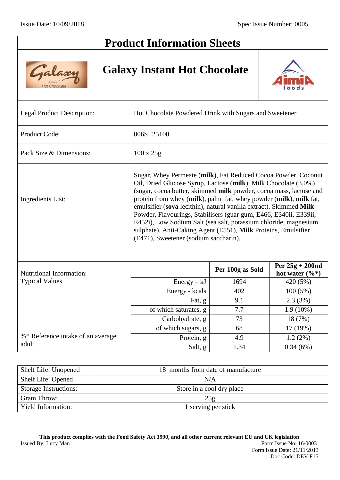Galaxi

Hot Chocolar

# **Product Information Sheets**

## **Galaxy Instant Hot Chocolate**



| Legal Product Description:        | Hot Chocolate Powdered Drink with Sugars and Sweetener                                                                                                                                                                                                                                                                                                                                                                                                                                                                                                                                                 |                  |                                        |  |  |
|-----------------------------------|--------------------------------------------------------------------------------------------------------------------------------------------------------------------------------------------------------------------------------------------------------------------------------------------------------------------------------------------------------------------------------------------------------------------------------------------------------------------------------------------------------------------------------------------------------------------------------------------------------|------------------|----------------------------------------|--|--|
| Product Code:                     | 006ST25100                                                                                                                                                                                                                                                                                                                                                                                                                                                                                                                                                                                             |                  |                                        |  |  |
| Pack Size & Dimensions:           | $100 \times 25g$                                                                                                                                                                                                                                                                                                                                                                                                                                                                                                                                                                                       |                  |                                        |  |  |
| <b>Ingredients List:</b>          | Sugar, Whey Permeate (milk), Fat Reduced Cocoa Powder, Coconut<br>Oil, Dried Glucose Syrup, Lactose (milk), Milk Chocolate (3.0%)<br>(sugar, cocoa butter, skimmed milk powder, cocoa mass, lactose and<br>protein from whey (milk), palm fat, whey powder (milk), milk fat,<br>emulsifier (soya lecithin), natural vanilla extract), Skimmed Milk<br>Powder, Flavourings, Stabilisers (guar gum, E466, E340ii, E339ii,<br>E452i), Low Sodium Salt (sea salt, potassium chloride, magnesium<br>sulphate), Anti-Caking Agent (E551), Milk Proteins, Emulsifier<br>(E471), Sweetener (sodium saccharin). |                  |                                        |  |  |
| <b>Nutritional Information:</b>   |                                                                                                                                                                                                                                                                                                                                                                                                                                                                                                                                                                                                        | Per 100g as Sold | Per $25g + 200ml$<br>hot water $(\%*)$ |  |  |
| <b>Typical Values</b>             | $Energy - kJ$                                                                                                                                                                                                                                                                                                                                                                                                                                                                                                                                                                                          | 1694             | 420 (5%)                               |  |  |
|                                   | Energy - kcals                                                                                                                                                                                                                                                                                                                                                                                                                                                                                                                                                                                         | 402              | $100(5\%)$                             |  |  |
|                                   | Fat, g                                                                                                                                                                                                                                                                                                                                                                                                                                                                                                                                                                                                 | 9.1              | 2.3(3%)                                |  |  |
|                                   | of which saturates, g                                                                                                                                                                                                                                                                                                                                                                                                                                                                                                                                                                                  | 7.7              | $1.9(10\%)$                            |  |  |
|                                   | Carbohydrate, g                                                                                                                                                                                                                                                                                                                                                                                                                                                                                                                                                                                        | 73               | 18 (7%)                                |  |  |
|                                   | of which sugars, g                                                                                                                                                                                                                                                                                                                                                                                                                                                                                                                                                                                     | 68               | 17 (19%)                               |  |  |
| %* Reference intake of an average | Protein, g                                                                                                                                                                                                                                                                                                                                                                                                                                                                                                                                                                                             | 4.9              | $1.2(2\%)$                             |  |  |
| adult                             | Salt, g                                                                                                                                                                                                                                                                                                                                                                                                                                                                                                                                                                                                | 1.34             | 0.34(6%)                               |  |  |

| Shelf Life: Unopened         | 18 months from date of manufacture |
|------------------------------|------------------------------------|
| Shelf Life: Opened           | N/A                                |
| <b>Storage Instructions:</b> | Store in a cool dry place          |
| Gram Throw:                  | 25g                                |
| <b>Yield Information:</b>    | 1 serving per stick                |

**This product complies with the Food Safety Act 1990, and all other current relevant EU and UK legislation** Issued By: Lucy Man Form Issue No: 16/0003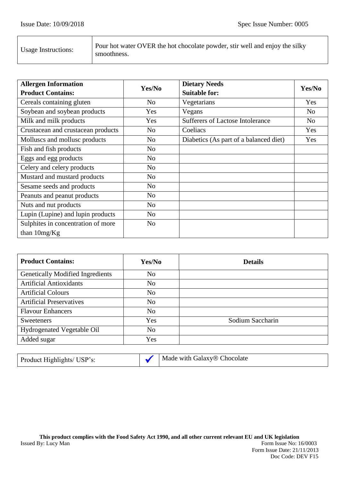| Pour hot water OVER the hot chocolate powder, stir well and enjoy the silky |
|-----------------------------------------------------------------------------|
|                                                                             |

| <b>Allergen Information</b>        |                | <b>Dietary Needs</b>                   |                |
|------------------------------------|----------------|----------------------------------------|----------------|
| <b>Product Contains:</b>           | Yes/No         | <b>Suitable for:</b>                   | Yes/No         |
| Cereals containing gluten          | N <sub>o</sub> | Vegetarians                            | Yes            |
| Soybean and soybean products       | Yes            | Vegans                                 | N <sub>o</sub> |
| Milk and milk products             | Yes            | Sufferers of Lactose Intolerance       | N <sub>o</sub> |
| Crustacean and crustacean products | N <sub>o</sub> | Coeliacs                               | Yes            |
| Molluscs and mollusc products      | No             | Diabetics (As part of a balanced diet) | Yes            |
| Fish and fish products             | No             |                                        |                |
| Eggs and egg products              | N <sub>o</sub> |                                        |                |
| Celery and celery products         | N <sub>o</sub> |                                        |                |
| Mustard and mustard products       | N <sub>o</sub> |                                        |                |
| Sesame seeds and products          | No             |                                        |                |
| Peanuts and peanut products        | N <sub>o</sub> |                                        |                |
| Nuts and nut products              | N <sub>o</sub> |                                        |                |
| Lupin (Lupine) and lupin products  | No             |                                        |                |
| Sulphites in concentration of more | No             |                                        |                |
| than $10mg/Kg$                     |                |                                        |                |

| <b>Product Contains:</b>                | Yes/No         | <b>Details</b>   |
|-----------------------------------------|----------------|------------------|
| <b>Genetically Modified Ingredients</b> | N <sub>o</sub> |                  |
| <b>Artificial Antioxidants</b>          | N <sub>o</sub> |                  |
| <b>Artificial Colours</b>               | N <sub>0</sub> |                  |
| <b>Artificial Preservatives</b>         | N <sub>0</sub> |                  |
| <b>Flavour Enhancers</b>                | N <sub>o</sub> |                  |
| <b>Sweeteners</b>                       | Yes            | Sodium Saccharin |
| Hydrogenated Vegetable Oil              | N <sub>0</sub> |                  |
| Added sugar                             | Yes            |                  |

| Product Highlights/ USP's: |  | Made with Galaxy® Chocolate |
|----------------------------|--|-----------------------------|
|----------------------------|--|-----------------------------|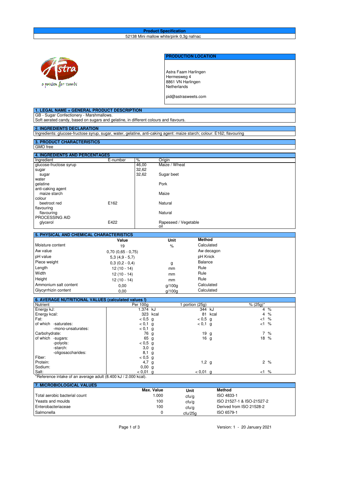#### **Product Specification** 52138 Mini mallow white/pink 0,3g nafnac



### **PRODUCTION LOCATION**

Astra Faam Harlingen Hermesweg 4 8861 VN Harlingen **Netherlands** 

pid@astrasweets.com

| GB - Sugar Confectionery - Marshmallows.<br>Soft aerated candy, based on sugars and gelatine, in different colours and flavours.<br><b>2. INGREDIENTS DECLARATION</b><br>Ingredients: glucose-fructose syrup, sugar, water, gelatine, anti-caking agent: maize starch; colour: E162; flavouring<br><b>3. PRODUCT CHARACTERISTICS</b><br>GMO free<br><b>4. INGREDIENTS AND PERCENTAGES</b><br>%<br>Ingredient<br>E-number<br>Origin<br>Maize / Wheat<br>glucose-fructose syrup<br>46,00<br>32.62<br>sugar<br>32.62<br>Sugar beet<br>sugar<br>water<br>Pork<br>qelatine<br>anti-caking agent<br>maize starch<br>Maize<br>colour<br>E162<br>beetroot red<br>Natural<br>flavouring<br>flavouring<br>Natural<br>PROCESSING AID<br>E422<br>Rapeseed / Vegetable<br>glycerol<br>oil<br>5. PHYSICAL AND CHEMICAL CHARACTERISTICS<br><b>Method</b><br>Value<br>Unit<br>Moisture content<br>Calculated<br>%<br>19<br>Aw value<br>Aw decagon<br>$0,70(0,65 - 0,75)$<br>pH value<br>pH Knick<br>$5,3(4,9-5,7)$<br>Piece weight<br>Balance<br>$0,3(0,2-0,4)$<br>g<br>Length<br>Rule<br>$12(10 - 14)$<br>mm<br>Width<br>Rule<br>$12(10 - 14)$<br>mm<br>Height<br>Rule<br>$12(10 - 14)$<br>mm<br>Ammonium salt content<br>Calculated<br>0,00<br>g/100g<br>Glycyrrhizin content<br>Calculated<br>0.00<br>q/100q<br>6. AVERAGE NUTRITIONAL VALUES (calculated values!)<br>Nutrient<br><b>Per 100g</b><br>$% (25q)^{*}$<br>1 portion (25g)<br>1.374 kJ<br>344 kJ<br>$\frac{9}{6}$<br>Energy kJ:<br>4<br>323 kcal<br>81 kcal<br>$\overline{4}$<br>$\%$<br>Energy kcal: |
|-----------------------------------------------------------------------------------------------------------------------------------------------------------------------------------------------------------------------------------------------------------------------------------------------------------------------------------------------------------------------------------------------------------------------------------------------------------------------------------------------------------------------------------------------------------------------------------------------------------------------------------------------------------------------------------------------------------------------------------------------------------------------------------------------------------------------------------------------------------------------------------------------------------------------------------------------------------------------------------------------------------------------------------------------------------------------------------------------------------------------------------------------------------------------------------------------------------------------------------------------------------------------------------------------------------------------------------------------------------------------------------------------------------------------------------------------------------------------------------------------------------------------------------------------------|
|                                                                                                                                                                                                                                                                                                                                                                                                                                                                                                                                                                                                                                                                                                                                                                                                                                                                                                                                                                                                                                                                                                                                                                                                                                                                                                                                                                                                                                                                                                                                                     |
|                                                                                                                                                                                                                                                                                                                                                                                                                                                                                                                                                                                                                                                                                                                                                                                                                                                                                                                                                                                                                                                                                                                                                                                                                                                                                                                                                                                                                                                                                                                                                     |
|                                                                                                                                                                                                                                                                                                                                                                                                                                                                                                                                                                                                                                                                                                                                                                                                                                                                                                                                                                                                                                                                                                                                                                                                                                                                                                                                                                                                                                                                                                                                                     |
|                                                                                                                                                                                                                                                                                                                                                                                                                                                                                                                                                                                                                                                                                                                                                                                                                                                                                                                                                                                                                                                                                                                                                                                                                                                                                                                                                                                                                                                                                                                                                     |
|                                                                                                                                                                                                                                                                                                                                                                                                                                                                                                                                                                                                                                                                                                                                                                                                                                                                                                                                                                                                                                                                                                                                                                                                                                                                                                                                                                                                                                                                                                                                                     |
|                                                                                                                                                                                                                                                                                                                                                                                                                                                                                                                                                                                                                                                                                                                                                                                                                                                                                                                                                                                                                                                                                                                                                                                                                                                                                                                                                                                                                                                                                                                                                     |
|                                                                                                                                                                                                                                                                                                                                                                                                                                                                                                                                                                                                                                                                                                                                                                                                                                                                                                                                                                                                                                                                                                                                                                                                                                                                                                                                                                                                                                                                                                                                                     |
|                                                                                                                                                                                                                                                                                                                                                                                                                                                                                                                                                                                                                                                                                                                                                                                                                                                                                                                                                                                                                                                                                                                                                                                                                                                                                                                                                                                                                                                                                                                                                     |
|                                                                                                                                                                                                                                                                                                                                                                                                                                                                                                                                                                                                                                                                                                                                                                                                                                                                                                                                                                                                                                                                                                                                                                                                                                                                                                                                                                                                                                                                                                                                                     |
|                                                                                                                                                                                                                                                                                                                                                                                                                                                                                                                                                                                                                                                                                                                                                                                                                                                                                                                                                                                                                                                                                                                                                                                                                                                                                                                                                                                                                                                                                                                                                     |
|                                                                                                                                                                                                                                                                                                                                                                                                                                                                                                                                                                                                                                                                                                                                                                                                                                                                                                                                                                                                                                                                                                                                                                                                                                                                                                                                                                                                                                                                                                                                                     |
|                                                                                                                                                                                                                                                                                                                                                                                                                                                                                                                                                                                                                                                                                                                                                                                                                                                                                                                                                                                                                                                                                                                                                                                                                                                                                                                                                                                                                                                                                                                                                     |
|                                                                                                                                                                                                                                                                                                                                                                                                                                                                                                                                                                                                                                                                                                                                                                                                                                                                                                                                                                                                                                                                                                                                                                                                                                                                                                                                                                                                                                                                                                                                                     |
|                                                                                                                                                                                                                                                                                                                                                                                                                                                                                                                                                                                                                                                                                                                                                                                                                                                                                                                                                                                                                                                                                                                                                                                                                                                                                                                                                                                                                                                                                                                                                     |
|                                                                                                                                                                                                                                                                                                                                                                                                                                                                                                                                                                                                                                                                                                                                                                                                                                                                                                                                                                                                                                                                                                                                                                                                                                                                                                                                                                                                                                                                                                                                                     |
|                                                                                                                                                                                                                                                                                                                                                                                                                                                                                                                                                                                                                                                                                                                                                                                                                                                                                                                                                                                                                                                                                                                                                                                                                                                                                                                                                                                                                                                                                                                                                     |
|                                                                                                                                                                                                                                                                                                                                                                                                                                                                                                                                                                                                                                                                                                                                                                                                                                                                                                                                                                                                                                                                                                                                                                                                                                                                                                                                                                                                                                                                                                                                                     |
|                                                                                                                                                                                                                                                                                                                                                                                                                                                                                                                                                                                                                                                                                                                                                                                                                                                                                                                                                                                                                                                                                                                                                                                                                                                                                                                                                                                                                                                                                                                                                     |
|                                                                                                                                                                                                                                                                                                                                                                                                                                                                                                                                                                                                                                                                                                                                                                                                                                                                                                                                                                                                                                                                                                                                                                                                                                                                                                                                                                                                                                                                                                                                                     |
|                                                                                                                                                                                                                                                                                                                                                                                                                                                                                                                                                                                                                                                                                                                                                                                                                                                                                                                                                                                                                                                                                                                                                                                                                                                                                                                                                                                                                                                                                                                                                     |
|                                                                                                                                                                                                                                                                                                                                                                                                                                                                                                                                                                                                                                                                                                                                                                                                                                                                                                                                                                                                                                                                                                                                                                                                                                                                                                                                                                                                                                                                                                                                                     |
|                                                                                                                                                                                                                                                                                                                                                                                                                                                                                                                                                                                                                                                                                                                                                                                                                                                                                                                                                                                                                                                                                                                                                                                                                                                                                                                                                                                                                                                                                                                                                     |
|                                                                                                                                                                                                                                                                                                                                                                                                                                                                                                                                                                                                                                                                                                                                                                                                                                                                                                                                                                                                                                                                                                                                                                                                                                                                                                                                                                                                                                                                                                                                                     |
|                                                                                                                                                                                                                                                                                                                                                                                                                                                                                                                                                                                                                                                                                                                                                                                                                                                                                                                                                                                                                                                                                                                                                                                                                                                                                                                                                                                                                                                                                                                                                     |
|                                                                                                                                                                                                                                                                                                                                                                                                                                                                                                                                                                                                                                                                                                                                                                                                                                                                                                                                                                                                                                                                                                                                                                                                                                                                                                                                                                                                                                                                                                                                                     |
|                                                                                                                                                                                                                                                                                                                                                                                                                                                                                                                                                                                                                                                                                                                                                                                                                                                                                                                                                                                                                                                                                                                                                                                                                                                                                                                                                                                                                                                                                                                                                     |
|                                                                                                                                                                                                                                                                                                                                                                                                                                                                                                                                                                                                                                                                                                                                                                                                                                                                                                                                                                                                                                                                                                                                                                                                                                                                                                                                                                                                                                                                                                                                                     |
|                                                                                                                                                                                                                                                                                                                                                                                                                                                                                                                                                                                                                                                                                                                                                                                                                                                                                                                                                                                                                                                                                                                                                                                                                                                                                                                                                                                                                                                                                                                                                     |
|                                                                                                                                                                                                                                                                                                                                                                                                                                                                                                                                                                                                                                                                                                                                                                                                                                                                                                                                                                                                                                                                                                                                                                                                                                                                                                                                                                                                                                                                                                                                                     |
|                                                                                                                                                                                                                                                                                                                                                                                                                                                                                                                                                                                                                                                                                                                                                                                                                                                                                                                                                                                                                                                                                                                                                                                                                                                                                                                                                                                                                                                                                                                                                     |
|                                                                                                                                                                                                                                                                                                                                                                                                                                                                                                                                                                                                                                                                                                                                                                                                                                                                                                                                                                                                                                                                                                                                                                                                                                                                                                                                                                                                                                                                                                                                                     |
|                                                                                                                                                                                                                                                                                                                                                                                                                                                                                                                                                                                                                                                                                                                                                                                                                                                                                                                                                                                                                                                                                                                                                                                                                                                                                                                                                                                                                                                                                                                                                     |
|                                                                                                                                                                                                                                                                                                                                                                                                                                                                                                                                                                                                                                                                                                                                                                                                                                                                                                                                                                                                                                                                                                                                                                                                                                                                                                                                                                                                                                                                                                                                                     |
|                                                                                                                                                                                                                                                                                                                                                                                                                                                                                                                                                                                                                                                                                                                                                                                                                                                                                                                                                                                                                                                                                                                                                                                                                                                                                                                                                                                                                                                                                                                                                     |
| Fat:<br>$< 0.5$ g<br>$< 0.5$ g<br>%<br>$<$ 1                                                                                                                                                                                                                                                                                                                                                                                                                                                                                                                                                                                                                                                                                                                                                                                                                                                                                                                                                                                                                                                                                                                                                                                                                                                                                                                                                                                                                                                                                                        |
| of which -saturates:<br>$< 0,1$ g<br>0,1,9<br>$\%$<br><1                                                                                                                                                                                                                                                                                                                                                                                                                                                                                                                                                                                                                                                                                                                                                                                                                                                                                                                                                                                                                                                                                                                                                                                                                                                                                                                                                                                                                                                                                            |
| $< 0,1$ g<br>-mono-unsaturates:                                                                                                                                                                                                                                                                                                                                                                                                                                                                                                                                                                                                                                                                                                                                                                                                                                                                                                                                                                                                                                                                                                                                                                                                                                                                                                                                                                                                                                                                                                                     |
| 7%<br>Carbohydrate:<br>76 g<br>19 <sub>g</sub><br>of which -sugars:<br>16 <sub>g</sub><br>$18 \frac{9}{6}$                                                                                                                                                                                                                                                                                                                                                                                                                                                                                                                                                                                                                                                                                                                                                                                                                                                                                                                                                                                                                                                                                                                                                                                                                                                                                                                                                                                                                                          |
| 65 g<br>$< 0.5$ g<br>-polyols:                                                                                                                                                                                                                                                                                                                                                                                                                                                                                                                                                                                                                                                                                                                                                                                                                                                                                                                                                                                                                                                                                                                                                                                                                                                                                                                                                                                                                                                                                                                      |
| -starch:<br>3.0 <sub>q</sub>                                                                                                                                                                                                                                                                                                                                                                                                                                                                                                                                                                                                                                                                                                                                                                                                                                                                                                                                                                                                                                                                                                                                                                                                                                                                                                                                                                                                                                                                                                                        |
| -oligosaccharides:<br>$8,1$ g                                                                                                                                                                                                                                                                                                                                                                                                                                                                                                                                                                                                                                                                                                                                                                                                                                                                                                                                                                                                                                                                                                                                                                                                                                                                                                                                                                                                                                                                                                                       |
| Fiber:<br>$< 0.5$ g                                                                                                                                                                                                                                                                                                                                                                                                                                                                                                                                                                                                                                                                                                                                                                                                                                                                                                                                                                                                                                                                                                                                                                                                                                                                                                                                                                                                                                                                                                                                 |
| Protein:<br>2%<br>4,7 g<br>$1,2$ g                                                                                                                                                                                                                                                                                                                                                                                                                                                                                                                                                                                                                                                                                                                                                                                                                                                                                                                                                                                                                                                                                                                                                                                                                                                                                                                                                                                                                                                                                                                  |
| $0,00$ g<br>Sodium:<br>Salt:<br>$<1$ %<br>$< 0.01$ g<br>$< 0.01$ g                                                                                                                                                                                                                                                                                                                                                                                                                                                                                                                                                                                                                                                                                                                                                                                                                                                                                                                                                                                                                                                                                                                                                                                                                                                                                                                                                                                                                                                                                  |
|                                                                                                                                                                                                                                                                                                                                                                                                                                                                                                                                                                                                                                                                                                                                                                                                                                                                                                                                                                                                                                                                                                                                                                                                                                                                                                                                                                                                                                                                                                                                                     |

| l 7. MICROBIOLOGICAL VALUES   |            |         |                           |  |
|-------------------------------|------------|---------|---------------------------|--|
|                               | Max. Value | Unit    | Method                    |  |
| Total aerobic bacterial count | .000       | cfu/g   | ISO 4833-1                |  |
| l Yeasts and moulds           | 100        | cfu/g   | ISO 21527-1 & ISO-21527-2 |  |
| Enterobacteriaceae            | 100        | cfu/g   | Derived from ISO 21528-2  |  |
| Salmonella                    |            | ctu/25a | ISO 6579-1                |  |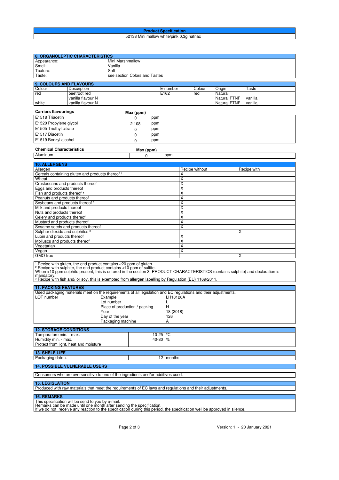#### **Product Specification** 52138 Mini mallow white/pink 0,3g nafnac

| 8. ORGANOLEPTIC CHARACTERISTICS                                                                                                                                                                                                                                                                                                                                                           |                                                                                                                                                                                                   |                                                    |                                     |                    |  |
|-------------------------------------------------------------------------------------------------------------------------------------------------------------------------------------------------------------------------------------------------------------------------------------------------------------------------------------------------------------------------------------------|---------------------------------------------------------------------------------------------------------------------------------------------------------------------------------------------------|----------------------------------------------------|-------------------------------------|--------------------|--|
| Appearance:                                                                                                                                                                                                                                                                                                                                                                               | Mini Marshmallow                                                                                                                                                                                  |                                                    |                                     |                    |  |
| Smell:                                                                                                                                                                                                                                                                                                                                                                                    | Vanilla                                                                                                                                                                                           |                                                    |                                     |                    |  |
| Texture:                                                                                                                                                                                                                                                                                                                                                                                  | Soft                                                                                                                                                                                              |                                                    |                                     |                    |  |
| Taste:                                                                                                                                                                                                                                                                                                                                                                                    | see section Colors and Tastes                                                                                                                                                                     |                                                    |                                     |                    |  |
| 9. COLOURS AND FLAVOURS                                                                                                                                                                                                                                                                                                                                                                   |                                                                                                                                                                                                   |                                                    |                                     |                    |  |
| Description<br>Colour                                                                                                                                                                                                                                                                                                                                                                     |                                                                                                                                                                                                   | E-number                                           | Colour<br>Origin                    | Taste              |  |
| beetroot red<br>red                                                                                                                                                                                                                                                                                                                                                                       | E162                                                                                                                                                                                              | red                                                | Natural                             |                    |  |
| vanilla flavour N<br>vanilla flavour N                                                                                                                                                                                                                                                                                                                                                    |                                                                                                                                                                                                   |                                                    | <b>Natural FTNF</b><br>Natural FTNF | vanilla<br>vanilla |  |
| white                                                                                                                                                                                                                                                                                                                                                                                     |                                                                                                                                                                                                   |                                                    |                                     |                    |  |
| <b>Carriers flavourings</b>                                                                                                                                                                                                                                                                                                                                                               | Max (ppm)                                                                                                                                                                                         |                                                    |                                     |                    |  |
| E1518 Triacetin                                                                                                                                                                                                                                                                                                                                                                           | ppm<br>0                                                                                                                                                                                          |                                                    |                                     |                    |  |
| E1520 Propylene glycol                                                                                                                                                                                                                                                                                                                                                                    | ppm<br>2.108                                                                                                                                                                                      |                                                    |                                     |                    |  |
| E1505 Triethyl citrate                                                                                                                                                                                                                                                                                                                                                                    | ppm<br>0                                                                                                                                                                                          |                                                    |                                     |                    |  |
| E1517 Diacetin                                                                                                                                                                                                                                                                                                                                                                            | ppm<br>0                                                                                                                                                                                          |                                                    |                                     |                    |  |
| E1519 Benzyl alcohol                                                                                                                                                                                                                                                                                                                                                                      | ppm<br>0                                                                                                                                                                                          |                                                    |                                     |                    |  |
|                                                                                                                                                                                                                                                                                                                                                                                           |                                                                                                                                                                                                   |                                                    |                                     |                    |  |
| <b>Chemical Characteristics</b>                                                                                                                                                                                                                                                                                                                                                           | Max (ppm)                                                                                                                                                                                         |                                                    |                                     |                    |  |
| Aluminum                                                                                                                                                                                                                                                                                                                                                                                  | 0                                                                                                                                                                                                 | ppm                                                |                                     |                    |  |
| <b>10. ALLERGENS</b>                                                                                                                                                                                                                                                                                                                                                                      |                                                                                                                                                                                                   |                                                    |                                     |                    |  |
| Allergen                                                                                                                                                                                                                                                                                                                                                                                  |                                                                                                                                                                                                   | Recipe without                                     |                                     | Recipe with        |  |
| Cereals containing gluten and products thereof <sup>1</sup>                                                                                                                                                                                                                                                                                                                               |                                                                                                                                                                                                   | х                                                  |                                     |                    |  |
| Wheat                                                                                                                                                                                                                                                                                                                                                                                     |                                                                                                                                                                                                   | X                                                  |                                     |                    |  |
| Crustaceans and products thereof                                                                                                                                                                                                                                                                                                                                                          |                                                                                                                                                                                                   | $\overline{\mathsf{x}}$                            |                                     |                    |  |
| Eggs and products thereof<br>Fish and products thereof <sup>3</sup>                                                                                                                                                                                                                                                                                                                       |                                                                                                                                                                                                   | $\overline{\mathsf{x}}$<br>X                       |                                     |                    |  |
| Peanuts and products thereof                                                                                                                                                                                                                                                                                                                                                              |                                                                                                                                                                                                   | $\overline{\mathsf{x}}$                            |                                     |                    |  |
| Soybeans and products thereof 3                                                                                                                                                                                                                                                                                                                                                           |                                                                                                                                                                                                   | $\overline{\mathsf{x}}$                            |                                     |                    |  |
| Milk and products thereof                                                                                                                                                                                                                                                                                                                                                                 |                                                                                                                                                                                                   | $\overline{\mathsf{x}}$                            |                                     |                    |  |
| Nuts and products thereof                                                                                                                                                                                                                                                                                                                                                                 |                                                                                                                                                                                                   | Χ                                                  |                                     |                    |  |
| Celery and products thereof                                                                                                                                                                                                                                                                                                                                                               |                                                                                                                                                                                                   | $\overline{\mathsf{x}}$                            |                                     |                    |  |
| Mustard and products thereof                                                                                                                                                                                                                                                                                                                                                              |                                                                                                                                                                                                   | $\overline{\mathsf{x}}$<br>$\overline{\mathsf{x}}$ |                                     |                    |  |
| Sesame seeds and products thereof<br>Sulphur dioxide and sulphites <sup>2</sup>                                                                                                                                                                                                                                                                                                           |                                                                                                                                                                                                   |                                                    |                                     | X                  |  |
| Lupin and products thereof                                                                                                                                                                                                                                                                                                                                                                |                                                                                                                                                                                                   | х                                                  |                                     |                    |  |
| Molluscs and products thereof                                                                                                                                                                                                                                                                                                                                                             |                                                                                                                                                                                                   | X                                                  |                                     |                    |  |
| X<br>Vegetarian                                                                                                                                                                                                                                                                                                                                                                           |                                                                                                                                                                                                   |                                                    |                                     |                    |  |
| $\overline{\mathsf{x}}$<br>Vegan<br>х                                                                                                                                                                                                                                                                                                                                                     |                                                                                                                                                                                                   |                                                    |                                     |                    |  |
| GMO free                                                                                                                                                                                                                                                                                                                                                                                  |                                                                                                                                                                                                   |                                                    |                                     |                    |  |
| <sup>1</sup> Recipe with gluten, the end product contains <20 ppm of gluten.<br><sup>2</sup> Recipe with sulphite, the end product contains <10 ppm of sulfite.<br>When >10 ppm sulphite present, this is entered in the section 3. PRODUCT CHARACTERI<br>mandatory.<br><sup>3</sup> Recipe with fish and/ or soy, this is exempted from allergen labelling by Regulation (EU) 1169/2011. |                                                                                                                                                                                                   |                                                    |                                     |                    |  |
| <b>11. PACKING FEATURES</b>                                                                                                                                                                                                                                                                                                                                                               |                                                                                                                                                                                                   |                                                    |                                     |                    |  |
| Used packaging materials meet on the requirements of all legislation and EC regulations and their adjustments.                                                                                                                                                                                                                                                                            |                                                                                                                                                                                                   |                                                    |                                     |                    |  |
| LOT number<br>LH18126A<br>Example                                                                                                                                                                                                                                                                                                                                                         |                                                                                                                                                                                                   |                                                    |                                     |                    |  |
| Lot number<br>L<br>Place of production / packing<br>н                                                                                                                                                                                                                                                                                                                                     |                                                                                                                                                                                                   |                                                    |                                     |                    |  |
| Year<br>18 (2018)                                                                                                                                                                                                                                                                                                                                                                         |                                                                                                                                                                                                   |                                                    |                                     |                    |  |
| Day of the year<br>126                                                                                                                                                                                                                                                                                                                                                                    |                                                                                                                                                                                                   |                                                    |                                     |                    |  |
|                                                                                                                                                                                                                                                                                                                                                                                           | Packaging machine                                                                                                                                                                                 | А                                                  |                                     |                    |  |
| <b>12. STORAGE CONDITIONS</b>                                                                                                                                                                                                                                                                                                                                                             |                                                                                                                                                                                                   |                                                    |                                     |                    |  |
| Temperature min. - max.                                                                                                                                                                                                                                                                                                                                                                   | 10-25 °C                                                                                                                                                                                          |                                                    |                                     |                    |  |
| Humidity min. - max.                                                                                                                                                                                                                                                                                                                                                                      | 40-80%                                                                                                                                                                                            |                                                    |                                     |                    |  |
| Protect from light, heat and moisture                                                                                                                                                                                                                                                                                                                                                     |                                                                                                                                                                                                   |                                                    |                                     |                    |  |
|                                                                                                                                                                                                                                                                                                                                                                                           |                                                                                                                                                                                                   |                                                    |                                     |                    |  |
| 13. SHELF LIFE<br>Packaging date +                                                                                                                                                                                                                                                                                                                                                        |                                                                                                                                                                                                   |                                                    |                                     |                    |  |
| 12 months                                                                                                                                                                                                                                                                                                                                                                                 |                                                                                                                                                                                                   |                                                    |                                     |                    |  |
| <b>14. POSSIBLE VULNERABLE USERS</b>                                                                                                                                                                                                                                                                                                                                                      |                                                                                                                                                                                                   |                                                    |                                     |                    |  |
| Consumers who are oversensitive to one of the ingredients and/or additives used.                                                                                                                                                                                                                                                                                                          |                                                                                                                                                                                                   |                                                    |                                     |                    |  |
|                                                                                                                                                                                                                                                                                                                                                                                           |                                                                                                                                                                                                   |                                                    |                                     |                    |  |
| <b>15. LEGISLATION</b>                                                                                                                                                                                                                                                                                                                                                                    |                                                                                                                                                                                                   |                                                    |                                     |                    |  |
| Produced with raw materials that meet the requirements of EC laws and regulations and their adjustments.                                                                                                                                                                                                                                                                                  |                                                                                                                                                                                                   |                                                    |                                     |                    |  |
| <b>16. REMARKS</b>                                                                                                                                                                                                                                                                                                                                                                        |                                                                                                                                                                                                   |                                                    |                                     |                    |  |
| This specification will be send to you by e-mail.                                                                                                                                                                                                                                                                                                                                         |                                                                                                                                                                                                   |                                                    |                                     |                    |  |
|                                                                                                                                                                                                                                                                                                                                                                                           | Remarks can be made until one month after sending the specification.<br>If we do not receive any reaction to the specification during this period, the specification well be approved in silence. |                                                    |                                     |                    |  |